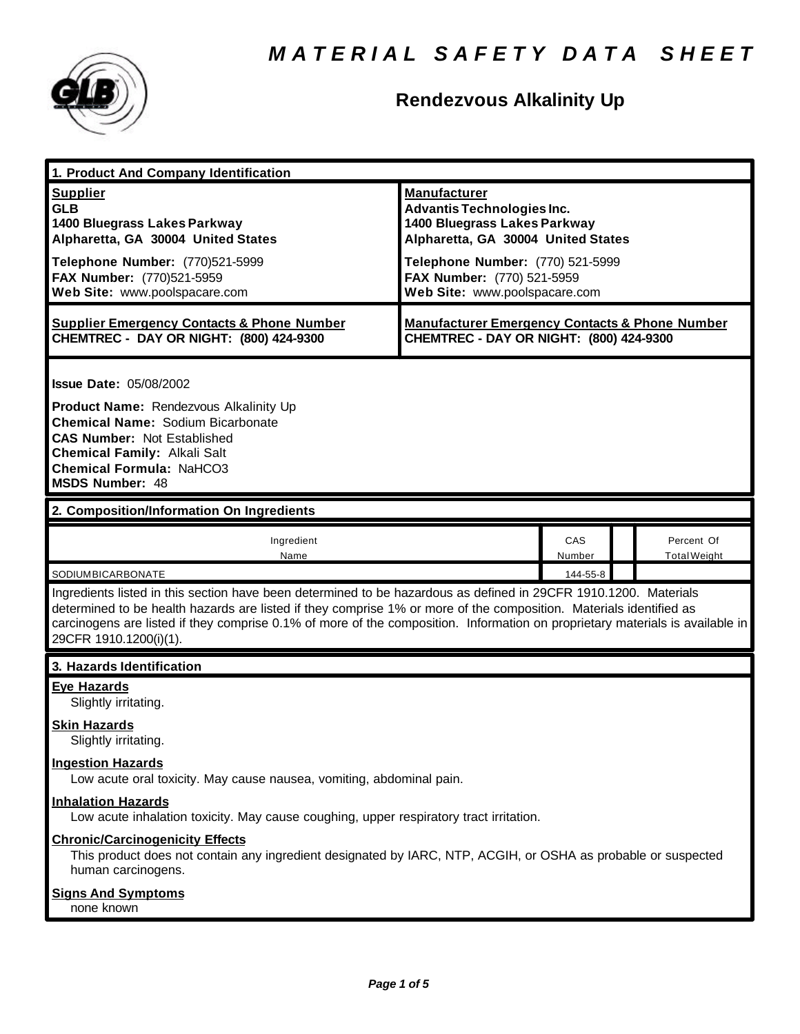

# **Rendezvous Alkalinity Up**

| 1. Product And Company Identification                                                                                                                                                                                                                                                                                                                                                             |                                                                                                                                                                                                                                   |               |                                   |
|---------------------------------------------------------------------------------------------------------------------------------------------------------------------------------------------------------------------------------------------------------------------------------------------------------------------------------------------------------------------------------------------------|-----------------------------------------------------------------------------------------------------------------------------------------------------------------------------------------------------------------------------------|---------------|-----------------------------------|
| <b>Supplier</b><br><b>GLB</b><br>1400 Bluegrass Lakes Parkway<br>Alpharetta, GA 30004 United States<br>Telephone Number: (770)521-5999<br>FAX Number: (770)521-5959<br>Web Site: www.poolspacare.com                                                                                                                                                                                              | <b>Manufacturer</b><br><b>Advantis Technologies Inc.</b><br>1400 Bluegrass Lakes Parkway<br>Alpharetta, GA 30004 United States<br>Telephone Number: (770) 521-5999<br>FAX Number: (770) 521-5959<br>Web Site: www.poolspacare.com |               |                                   |
| <b>Supplier Emergency Contacts &amp; Phone Number</b><br>CHEMTREC - DAY OR NIGHT: (800) 424-9300                                                                                                                                                                                                                                                                                                  | <b>Manufacturer Emergency Contacts &amp; Phone Number</b><br>CHEMTREC - DAY OR NIGHT: (800) 424-9300                                                                                                                              |               |                                   |
| <b>Issue Date: 05/08/2002</b><br>Product Name: Rendezvous Alkalinity Up<br><b>Chemical Name: Sodium Bicarbonate</b><br><b>CAS Number: Not Established</b><br><b>Chemical Family: Alkali Salt</b><br><b>Chemical Formula: NaHCO3</b><br><b>MSDS Number: 48</b>                                                                                                                                     |                                                                                                                                                                                                                                   |               |                                   |
| 2. Composition/Information On Ingredients                                                                                                                                                                                                                                                                                                                                                         |                                                                                                                                                                                                                                   |               |                                   |
| Ingredient<br>Name                                                                                                                                                                                                                                                                                                                                                                                |                                                                                                                                                                                                                                   | CAS<br>Number | Percent Of<br><b>Total Weight</b> |
| SODIUMBICARBONATE                                                                                                                                                                                                                                                                                                                                                                                 |                                                                                                                                                                                                                                   | 144-55-8      |                                   |
| Ingredients listed in this section have been determined to be hazardous as defined in 29CFR 1910.1200. Materials<br>determined to be health hazards are listed if they comprise 1% or more of the composition. Materials identified as<br>carcinogens are listed if they comprise 0.1% of more of the composition. Information on proprietary materials is available in<br>29CFR 1910.1200(i)(1). |                                                                                                                                                                                                                                   |               |                                   |
| 3. Hazards Identification                                                                                                                                                                                                                                                                                                                                                                         |                                                                                                                                                                                                                                   |               |                                   |
| <b>Eye Hazards</b><br>Slightly irritating.<br><b>Skin Hazards</b><br>Slightly irritating.<br><b>Ingestion Hazards</b><br>Low acute oral toxicity. May cause nausea, vomiting, abdominal pain.                                                                                                                                                                                                     |                                                                                                                                                                                                                                   |               |                                   |
| <b>Inhalation Hazards</b><br>Low acute inhalation toxicity. May cause coughing, upper respiratory tract irritation.                                                                                                                                                                                                                                                                               |                                                                                                                                                                                                                                   |               |                                   |
| <b>Chronic/Carcinogenicity Effects</b><br>This product does not contain any ingredient designated by IARC, NTP, ACGIH, or OSHA as probable or suspected<br>human carcinogens.                                                                                                                                                                                                                     |                                                                                                                                                                                                                                   |               |                                   |
| <b>Signs And Symptoms</b><br>none known                                                                                                                                                                                                                                                                                                                                                           |                                                                                                                                                                                                                                   |               |                                   |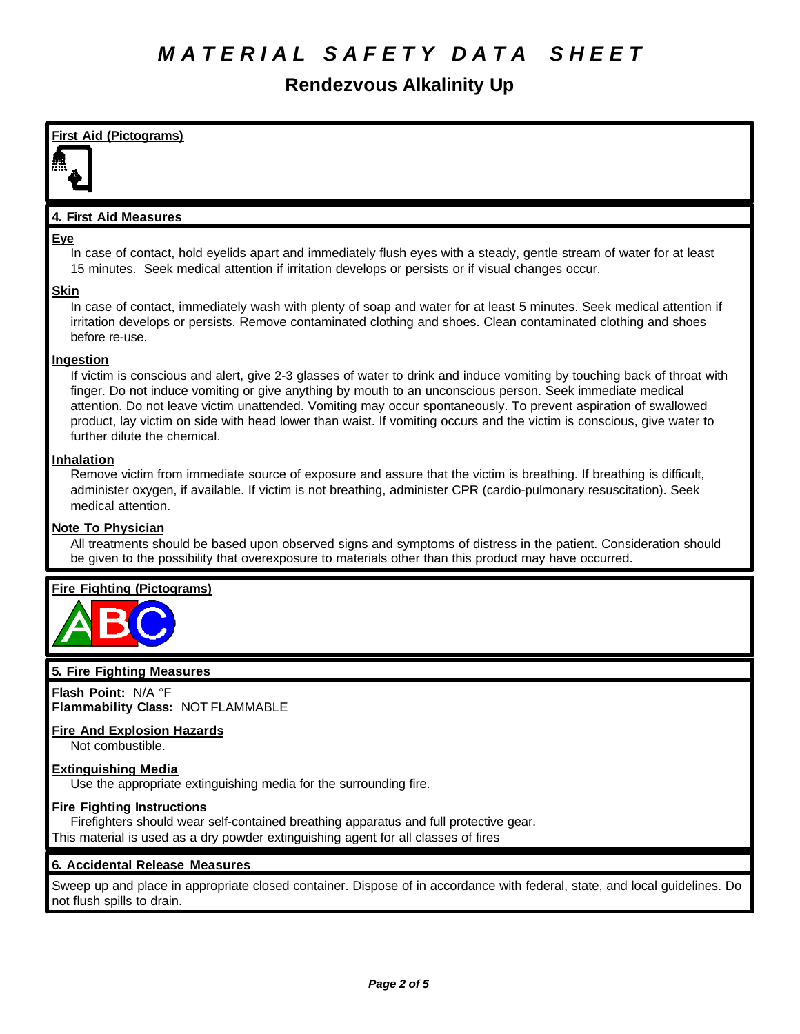## **Rendezvous Alkalinity Up**

#### **First Aid (Pictograms)**

#### **4. First Aid Measures**

#### **Eye**

In case of contact, hold eyelids apart and immediately flush eyes with a steady, gentle stream of water for at least 15 minutes. Seek medical attention if irritation develops or persists or if visual changes occur.

#### **Skin**

In case of contact, immediately wash with plenty of soap and water for at least 5 minutes. Seek medical attention if irritation develops or persists. Remove contaminated clothing and shoes. Clean contaminated clothing and shoes before re-use.

#### **Ingestion**

If victim is conscious and alert, give 2-3 glasses of water to drink and induce vomiting by touching back of throat with finger. Do not induce vomiting or give anything by mouth to an unconscious person. Seek immediate medical attention. Do not leave victim unattended. Vomiting may occur spontaneously. To prevent aspiration of swallowed product, lay victim on side with head lower than waist. If vomiting occurs and the victim is conscious, give water to further dilute the chemical.

#### **Inhalation**

Remove victim from immediate source of exposure and assure that the victim is breathing. If breathing is difficult, administer oxygen, if available. If victim is not breathing, administer CPR (cardio-pulmonary resuscitation). Seek medical attention.

#### **Note To Physician**

All treatments should be based upon observed signs and symptoms of distress in the patient. Consideration should be given to the possibility that overexposure to materials other than this product may have occurred.

#### **Fire Fighting (Pictograms)**



#### **5. Fire Fighting Measures**

**Flash Point:** N/A °F **Flammability Class:** NOT FLAMMABLE

### **Fire And Explosion Hazards**

Not combustible.

#### **Extinguishing Media**

Use the appropriate extinguishing media for the surrounding fire.

#### **Fire Fighting Instructions**

Firefighters should wear self-contained breathing apparatus and full protective gear. This material is used as a dry powder extinguishing agent for all classes of fires

#### **6. Accidental Release Measures**

Sweep up and place in appropriate closed container. Dispose of in accordance with federal, state, and local guidelines. Do not flush spills to drain.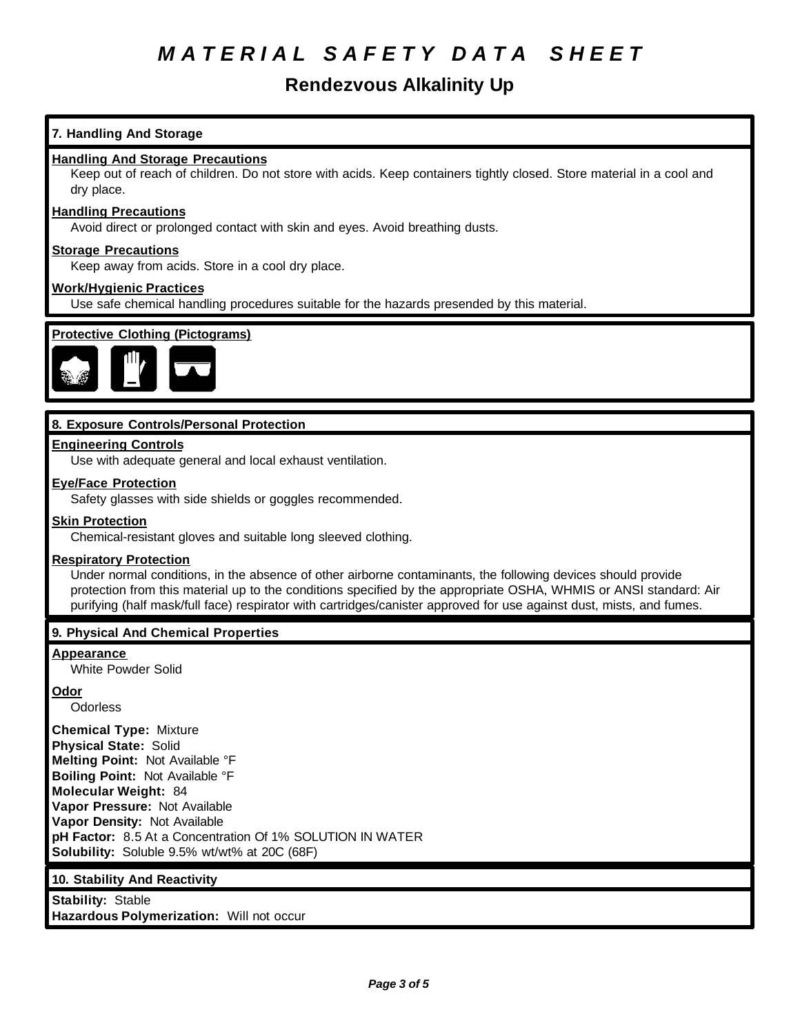# *M A T E R I A L S A F E T Y D A T A S H E E T*

### **Rendezvous Alkalinity Up**

#### **7. Handling And Storage**

#### **Handling And Storage Precautions**

Keep out of reach of children. Do not store with acids. Keep containers tightly closed. Store material in a cool and dry place.

#### **Handling Precautions**

Avoid direct or prolonged contact with skin and eyes. Avoid breathing dusts.

#### **Storage Precautions**

Keep away from acids. Store in a cool dry place.

#### **Work/Hygienic Practices**

Use safe chemical handling procedures suitable for the hazards presended by this material.



#### **8. Exposure Controls/Personal Protection**

#### **Engineering Controls**

Use with adequate general and local exhaust ventilation.

#### **Eye/Face Protection**

Safety glasses with side shields or goggles recommended.

#### **Skin Protection**

Chemical-resistant gloves and suitable long sleeved clothing.

#### **Respiratory Protection**

Under normal conditions, in the absence of other airborne contaminants, the following devices should provide protection from this material up to the conditions specified by the appropriate OSHA, WHMIS or ANSI standard: Air purifying (half mask/full face) respirator with cartridges/canister approved for use against dust, mists, and fumes.

#### **9. Physical And Chemical Properties**

#### **Appearance**

White Powder Solid

#### **Odor**

**Odorless** 

**Chemical Type:** Mixture **Physical State:** Solid **Melting Point:** Not Available °F **Boiling Point:** Not Available °F **Molecular Weight:** 84 **Vapor Pressure:** Not Available **Vapor Density:** Not Available **pH Factor:** 8.5 At a Concentration Of 1% SOLUTION IN WATER **Solubility:** Soluble 9.5% wt/wt% at 20C (68F)

#### **10. Stability And Reactivity**

**Stability:** Stable **Hazardous Polymerization:** Will not occur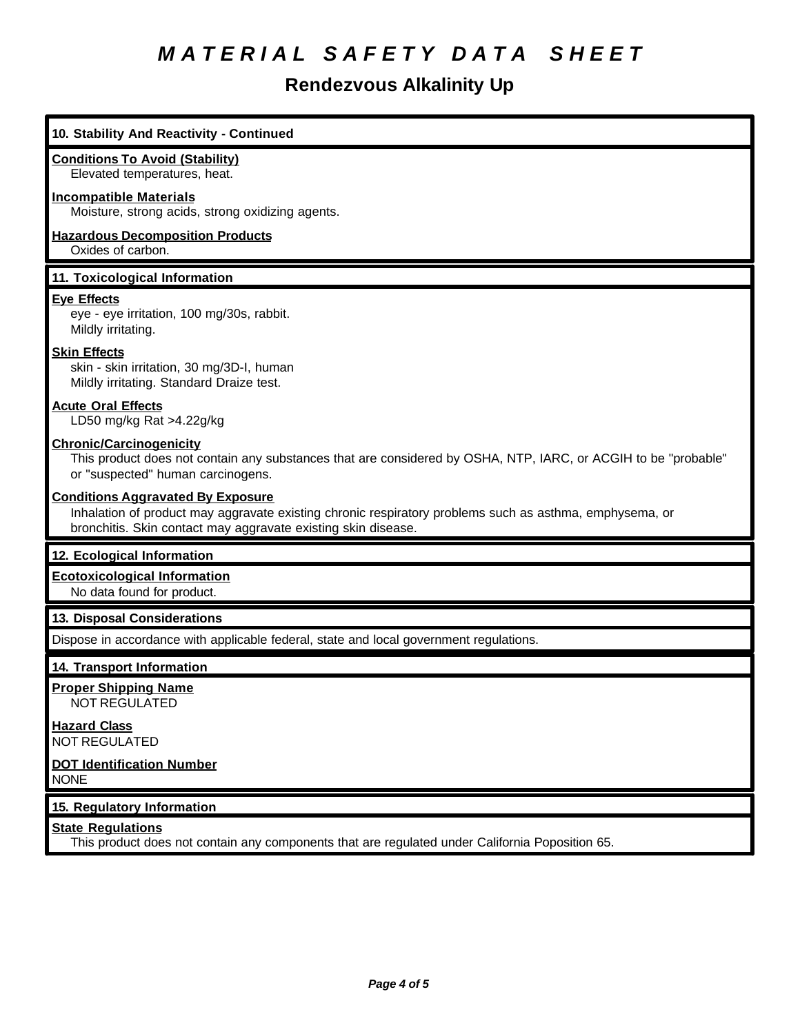# *M A T E R I A L S A F E T Y D A T A S H E E T*

### **Rendezvous Alkalinity Up**

#### **10. Stability And Reactivity - Continued**

#### **Conditions To Avoid (Stability)**

Elevated temperatures, heat.

#### **Incompatible Materials**

Moisture, strong acids, strong oxidizing agents.

#### **Hazardous Decomposition Products**

Oxides of carbon.

#### **11. Toxicological Information**

#### **Eye Effects**

eye - eye irritation, 100 mg/30s, rabbit. Mildly irritating.

#### **Skin Effects**

skin - skin irritation, 30 mg/3D-I, human Mildly irritating. Standard Draize test.

#### **Acute Oral Effects**

LD50 mg/kg Rat >4.22g/kg

#### **Chronic/Carcinogenicity**

This product does not contain any substances that are considered by OSHA, NTP, IARC, or ACGIH to be "probable" or "suspected" human carcinogens.

#### **Conditions Aggravated By Exposure**

Inhalation of product may aggravate existing chronic respiratory problems such as asthma, emphysema, or bronchitis. Skin contact may aggravate existing skin disease.

#### **12. Ecological Information**

#### **Ecotoxicological Information**

No data found for product.

#### **13. Disposal Considerations**

Dispose in accordance with applicable federal, state and local government regulations.

#### **14. Transport Information**

**Proper Shipping Name** NOT REGULATED

**Hazard Class** NOT REGULATED

#### **DOT Identification Number** NONE

### **15. Regulatory Information**

### **State Regulations**

This product does not contain any components that are regulated under California Poposition 65.